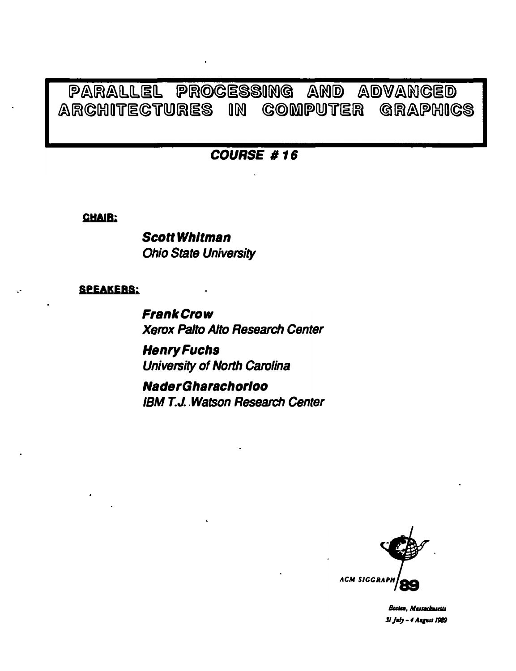### PARALLEL PROCESSING AND ADVANCED ARCHITECTURES IN COMPUTER GRAPHICS

## **COURSE #16**

**CHAIR:** 

**Scott Whitman Ohio State University** 

### **SPEAKERS:**

**Frank Crow Xerox Palto Alto Research Center** 

**Henry Fuchs** University of North Carolina

**Nader Gharachorioo IRM T.J. Watson Research Center** 



Boston, Massachusetts 31 July - 4 August 1989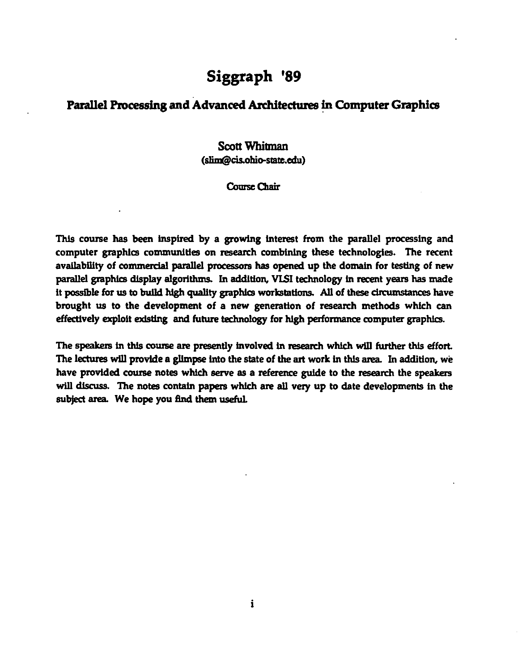# Siggraph '89

## Parallel Processing and Advanced Architectures in Computer Graphics

## Scott Whitman (slim@cis.obio-state.edu)

#### Course Chair

This course has been inspired by a growing interest from the parallel processing and computer graphics communities on research combining these technologies. The recent availability of commercial parallel processors has opened up the domain for testing of new parallel graphics display algorithms. In addition, VLSI technology in recent years has made it possible for us to build high quality graphics workstations. All of these circumstances have brought us to the development of a new generation of research methods which can effectively exploit existing and future technology for high performance computer graphics.

The speakers in this course are presently involved in research which will further this effort. The lectures will provide a gllmpse into the state of the art work In this area. In addition, we have provided course notes which serve as a reference guide to the research the speakers will discuss. The notes contain papers which are all very up to date developments in the subject area. We hope you find them useful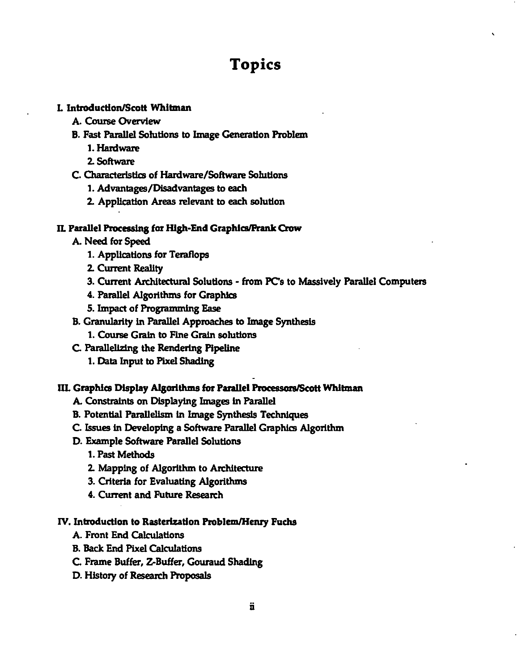# **Topics**

#### L Introduction/Scott Whitman

- A. Course Overview
- B. Fast Parallel Solutions to Image Generation Problem
	- t.Hardware
	- 2. Software
- C. Characteristics of Hardware/Software Solutions
	- 1. Advantages/Disadvantages to each
	- 2. Application Areas relevant to each solution

#### II. Parallel Processing for High-End Graphics/Frank Crow

- A. Need for Speed
	- 1. Applications for Teraflops
	- 2. Current Reality
	- 3. Current Architectural Solutions from PC's to Massively Parallel Computers
	- 4. Parallel Algorithms for Graphics
	- 5. Impact of Programming Ease
- B. Granularity In Parallel Approaches to Image Synthesis
	- 1. Course Grain to Fine Grain solutions
- C. Parallelizing the Rendering Pipeline
	- 1. Data Input to Pixel Shading

#### III. Graphics Display Algorithms for Parallel Processors/Scott Whitman

- A. Constraints on Displaying Images In Parallel
- B. Potential Parallelism In Image Synthesis Techniques
- C. Issues In Developing a Software Parallel Graphics Algorithm
- D. Example Software Parallel Solutions
	- 1. Past Methods
	- 2. Mapping of Algorithm to Architecture
	- 3. Criteria for Evaluating Algorithms
	- 4. Current and Future Research

#### IV. Introduction to Rasterization Problem/Henry Fuchs

- A. Front End Calculations
- B. Back End Pixel Calculations
- C Frame Buffer, Z-Buffer, Gouraud Shading
- D. History of Research Proposals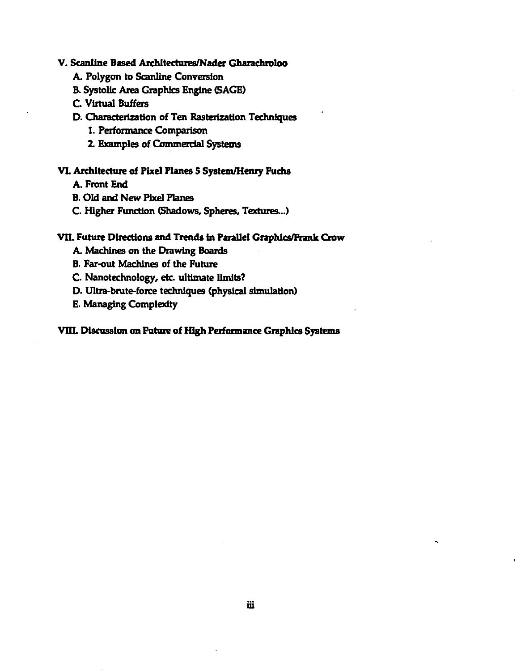#### V. Scanline Based Architectures/Nader Gharachroloo

A. Polygon to Scanllne Conversion

#### B. Systolic Area Graphics Engine (SAGE)

C. Virtual Buffers

#### D. Characterization of Ten Rasterization Techniques

- 1. Performance Comparison
- 2. Examples of Commerdal Systems

#### VI. Architecture of Pixel Planes 5 System/Henry Fuchs

A. Front End

- B. Old and New Pixel Planes
- C. Higher Function (Shadows, Spheres, Textures. .. )

#### VII. Future Directions and Trends in Parallel Graphics/Frank Crow

- A. Machines on the Drawing Boards
- B. Far-out Machines of the Future
- C. Nanotechnology, etc. ultimate limits?
- D. Ultra-brute-force techniques (physical simulation)
- E. Managing Complexity

#### VIII. Discussion on Future of High Performance Graphics Systems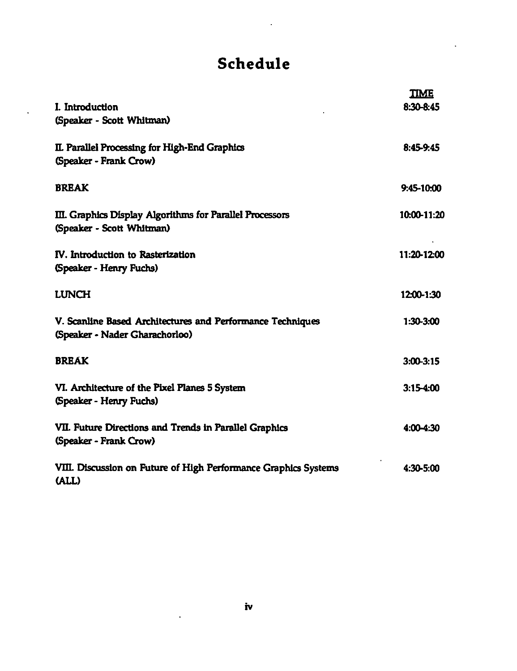# Schedule

 $\ddot{\phantom{a}}$ 

| I. Introduction<br>(Speaker - Scott Whitman)                                                 | <u>TIME</u><br>8:30-8:45 |
|----------------------------------------------------------------------------------------------|--------------------------|
| II. Parallel Processing for High-End Graphics<br>(Speaker - Frank Crow)                      | 8:45-9:45                |
| <b>BREAK</b>                                                                                 | 9:45-10:00               |
| III. Graphics Display Algorithms for Parallel Processors<br>(Speaker - Scott Whitman)        | 10:00-11:20              |
| IV. Introduction to Rasterization<br>(Speaker - Henry Fuchs)                                 | 11:20-12:00              |
| <b>LUNCH</b>                                                                                 | 12:00-1:30               |
| V. Scanline Based Architectures and Performance Techniques<br>(Speaker - Nader Gharachorloo) | 1:30-3:00                |
| <b>BREAK</b>                                                                                 | $3:00 - 3:15$            |
| VI. Architecture of the Pixel Planes 5 System<br>(Speaker - Henry Fuchs)                     | $3.15 - 4:00$            |
| VII. Future Directions and Trends in Parallel Graphics<br>(Speaker - Frank Crow)             | $4.00 - 4:30$            |
| VIII. Discussion on Future of High Performance Graphics Systems<br>(ALL)                     | $4:30 - 5:00$            |

 $\ddot{\phantom{a}}$